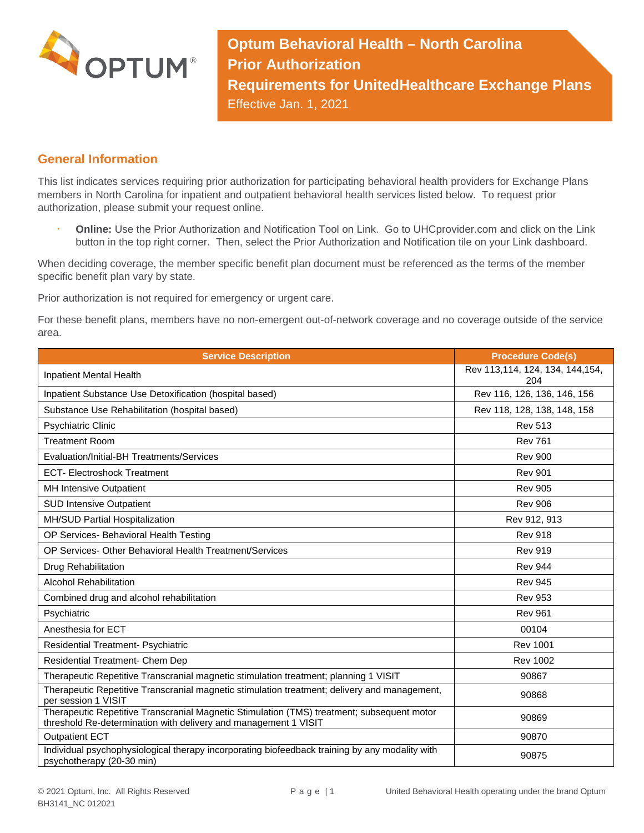

**Optum Behavioral Health – North Carolina Prior Authorization Requirements for UnitedHealthcare Exchange Plans** Effective Jan. 1, 2021

## **General Information**

This list indicates services requiring prior authorization for participating behavioral health providers for Exchange Plans members in North Carolina for inpatient and outpatient behavioral health services listed below. To request prior authorization, please submit your request online.

 **Online:** Use the Prior Authorization and Notification Tool on Link. Go to UHCprovider.com and click on the Link button in the top right corner. Then, select the Prior Authorization and Notification tile on your Link dashboard.

When deciding coverage, the member specific benefit plan document must be referenced as the terms of the member specific benefit plan vary by state.

Prior authorization is not required for emergency or urgent care.

For these benefit plans, members have no non-emergent out-of-network coverage and no coverage outside of the service area.

| <b>Service Description</b>                                                                                                                                    | <b>Procedure Code(s)</b>               |
|---------------------------------------------------------------------------------------------------------------------------------------------------------------|----------------------------------------|
| Inpatient Mental Health                                                                                                                                       | Rev 113,114, 124, 134, 144,154,<br>204 |
| Inpatient Substance Use Detoxification (hospital based)                                                                                                       | Rev 116, 126, 136, 146, 156            |
| Substance Use Rehabilitation (hospital based)                                                                                                                 | Rev 118, 128, 138, 148, 158            |
| <b>Psychiatric Clinic</b>                                                                                                                                     | <b>Rev 513</b>                         |
| <b>Treatment Room</b>                                                                                                                                         | <b>Rev 761</b>                         |
| Evaluation/Initial-BH Treatments/Services                                                                                                                     | <b>Rev 900</b>                         |
| <b>ECT- Electroshock Treatment</b>                                                                                                                            | <b>Rev 901</b>                         |
| <b>MH Intensive Outpatient</b>                                                                                                                                | <b>Rev 905</b>                         |
| <b>SUD Intensive Outpatient</b>                                                                                                                               | <b>Rev 906</b>                         |
| MH/SUD Partial Hospitalization                                                                                                                                | Rev 912, 913                           |
| OP Services- Behavioral Health Testing                                                                                                                        | <b>Rev 918</b>                         |
| OP Services- Other Behavioral Health Treatment/Services                                                                                                       | <b>Rev 919</b>                         |
| Drug Rehabilitation                                                                                                                                           | <b>Rev 944</b>                         |
| <b>Alcohol Rehabilitation</b>                                                                                                                                 | <b>Rev 945</b>                         |
| Combined drug and alcohol rehabilitation                                                                                                                      | <b>Rev 953</b>                         |
| Psychiatric                                                                                                                                                   | <b>Rev 961</b>                         |
| Anesthesia for ECT                                                                                                                                            | 00104                                  |
| <b>Residential Treatment- Psychiatric</b>                                                                                                                     | <b>Rev 1001</b>                        |
| Residential Treatment- Chem Dep                                                                                                                               | <b>Rev 1002</b>                        |
| Therapeutic Repetitive Transcranial magnetic stimulation treatment; planning 1 VISIT                                                                          | 90867                                  |
| Therapeutic Repetitive Transcranial magnetic stimulation treatment; delivery and management,<br>per session 1 VISIT                                           | 90868                                  |
| Therapeutic Repetitive Transcranial Magnetic Stimulation (TMS) treatment; subsequent motor<br>threshold Re-determination with delivery and management 1 VISIT | 90869                                  |
| <b>Outpatient ECT</b>                                                                                                                                         | 90870                                  |
| Individual psychophysiological therapy incorporating biofeedback training by any modality with<br>psychotherapy (20-30 min)                                   | 90875                                  |